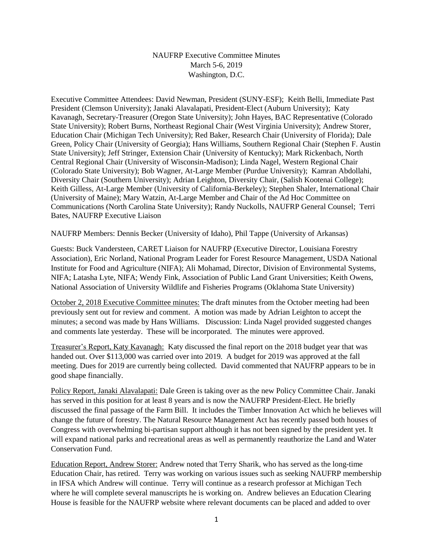## NAUFRP Executive Committee Minutes March 5-6, 2019 Washington, D.C.

Executive Committee Attendees: David Newman, President (SUNY-ESF); Keith Belli, Immediate Past President (Clemson University); Janaki Alavalapati, President-Elect (Auburn University); Katy Kavanagh, Secretary-Treasurer (Oregon State University); John Hayes, BAC Representative (Colorado State University); Robert Burns, Northeast Regional Chair (West Virginia University); Andrew Storer, Education Chair (Michigan Tech University); Red Baker, Research Chair (University of Florida); Dale Green, Policy Chair (University of Georgia); Hans Williams, Southern Regional Chair (Stephen F. Austin State University); Jeff Stringer, Extension Chair (University of Kentucky); Mark Rickenbach, North Central Regional Chair (University of Wisconsin-Madison); Linda Nagel, Western Regional Chair (Colorado State University); Bob Wagner, At-Large Member (Purdue University); Kamran Abdollahi, Diversity Chair (Southern University); Adrian Leighton, Diversity Chair, (Salish Kootenai College); Keith Gilless, At-Large Member (University of California-Berkeley); Stephen Shaler, International Chair (University of Maine); Mary Watzin, At-Large Member and Chair of the Ad Hoc Committee on Communications (North Carolina State University); Randy Nuckolls, NAUFRP General Counsel; Terri Bates, NAUFRP Executive Liaison

NAUFRP Members: Dennis Becker (University of Idaho), Phil Tappe (University of Arkansas)

Guests: Buck Vandersteen, CARET Liaison for NAUFRP (Executive Director, Louisiana Forestry Association), Eric Norland, National Program Leader for Forest Resource Management, USDA National Institute for Food and Agriculture (NIFA); Ali Mohamad, Director, Division of Environmental Systems, NIFA; Latasha Lyte, NIFA; Wendy Fink, Association of Public Land Grant Universities; Keith Owens, National Association of University Wildlife and Fisheries Programs (Oklahoma State University)

October 2, 2018 Executive Committee minutes: The draft minutes from the October meeting had been previously sent out for review and comment. A motion was made by Adrian Leighton to accept the minutes; a second was made by Hans Williams. Discussion: Linda Nagel provided suggested changes and comments late yesterday. These will be incorporated. The minutes were approved.

Treasurer's Report, Katy Kavanagh: Katy discussed the final report on the 2018 budget year that was handed out. Over \$113,000 was carried over into 2019. A budget for 2019 was approved at the fall meeting. Dues for 2019 are currently being collected. David commented that NAUFRP appears to be in good shape financially.

Policy Report, Janaki Alavalapati: Dale Green is taking over as the new Policy Committee Chair. Janaki has served in this position for at least 8 years and is now the NAUFRP President-Elect. He briefly discussed the final passage of the Farm Bill. It includes the Timber Innovation Act which he believes will change the future of forestry. The Natural Resource Management Act has recently passed both houses of Congress with overwhelming bi-partisan support although it has not been signed by the president yet. It will expand national parks and recreational areas as well as permanently reauthorize the Land and Water Conservation Fund.

Education Report, Andrew Storer: Andrew noted that Terry Sharik, who has served as the long-time Education Chair, has retired. Terry was working on various issues such as seeking NAUFRP membership in IFSA which Andrew will continue. Terry will continue as a research professor at Michigan Tech where he will complete several manuscripts he is working on. Andrew believes an Education Clearing House is feasible for the NAUFRP website where relevant documents can be placed and added to over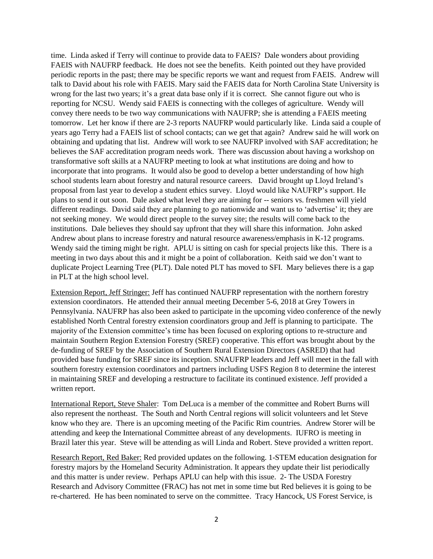time. Linda asked if Terry will continue to provide data to FAEIS? Dale wonders about providing FAEIS with NAUFRP feedback. He does not see the benefits. Keith pointed out they have provided periodic reports in the past; there may be specific reports we want and request from FAEIS. Andrew will talk to David about his role with FAEIS. Mary said the FAEIS data for North Carolina State University is wrong for the last two years; it's a great data base only if it is correct. She cannot figure out who is reporting for NCSU. Wendy said FAEIS is connecting with the colleges of agriculture. Wendy will convey there needs to be two way communications with NAUFRP; she is attending a FAEIS meeting tomorrow. Let her know if there are 2-3 reports NAUFRP would particularly like. Linda said a couple of years ago Terry had a FAEIS list of school contacts; can we get that again? Andrew said he will work on obtaining and updating that list. Andrew will work to see NAUFRP involved with SAF accreditation; he believes the SAF accreditation program needs work. There was discussion about having a workshop on transformative soft skills at a NAUFRP meeting to look at what institutions are doing and how to incorporate that into programs. It would also be good to develop a better understanding of how high school students learn about forestry and natural resource careers. David brought up Lloyd Ireland's proposal from last year to develop a student ethics survey. Lloyd would like NAUFRP's support. He plans to send it out soon. Dale asked what level they are aiming for -- seniors vs. freshmen will yield different readings. David said they are planning to go nationwide and want us to 'advertise' it; they are not seeking money. We would direct people to the survey site; the results will come back to the institutions. Dale believes they should say upfront that they will share this information. John asked Andrew about plans to increase forestry and natural resource awareness/emphasis in K-12 programs. Wendy said the timing might be right. APLU is sitting on cash for special projects like this. There is a meeting in two days about this and it might be a point of collaboration. Keith said we don't want to duplicate Project Learning Tree (PLT). Dale noted PLT has moved to SFI. Mary believes there is a gap in PLT at the high school level.

Extension Report, Jeff Stringer: Jeff has continued NAUFRP representation with the northern forestry extension coordinators. He attended their annual meeting December 5-6, 2018 at Grey Towers in Pennsylvania. NAUFRP has also been asked to participate in the upcoming video conference of the newly established North Central forestry extension coordinators group and Jeff is planning to participate. The majority of the Extension committee's time has been focused on exploring options to re-structure and maintain Southern Region Extension Forestry (SREF) cooperative. This effort was brought about by the de-funding of SREF by the Association of Southern Rural Extension Directors (ASRED) that had provided base funding for SREF since its inception. SNAUFRP leaders and Jeff will meet in the fall with southern forestry extension coordinators and partners including USFS Region 8 to determine the interest in maintaining SREF and developing a restructure to facilitate its continued existence. Jeff provided a written report.

International Report, Steve Shaler: Tom DeLuca is a member of the committee and Robert Burns will also represent the northeast. The South and North Central regions will solicit volunteers and let Steve know who they are. There is an upcoming meeting of the Pacific Rim countries. Andrew Storer will be attending and keep the International Committee abreast of any developments. IUFRO is meeting in Brazil later this year. Steve will be attending as will Linda and Robert. Steve provided a written report.

Research Report, Red Baker: Red provided updates on the following. 1-STEM education designation for forestry majors by the Homeland Security Administration. It appears they update their list periodically and this matter is under review. Perhaps APLU can help with this issue. 2- The USDA Forestry Research and Advisory Committee (FRAC) has not met in some time but Red believes it is going to be re-chartered. He has been nominated to serve on the committee. Tracy Hancock, US Forest Service, is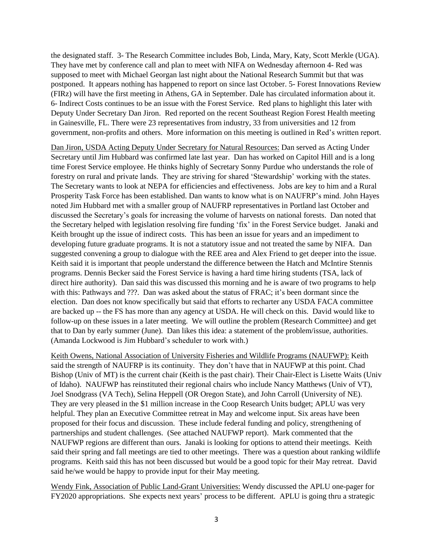the designated staff. 3- The Research Committee includes Bob, Linda, Mary, Katy, Scott Merkle (UGA). They have met by conference call and plan to meet with NIFA on Wednesday afternoon 4- Red was supposed to meet with Michael Georgan last night about the National Research Summit but that was postponed. It appears nothing has happened to report on since last October. 5- Forest Innovations Review (FIRz) will have the first meeting in Athens, GA in September. Dale has circulated information about it. 6- Indirect Costs continues to be an issue with the Forest Service. Red plans to highlight this later with Deputy Under Secretary Dan Jiron. Red reported on the recent Southeast Region Forest Health meeting in Gainesville, FL. There were 23 representatives from industry, 33 from universities and 12 from government, non-profits and others. More information on this meeting is outlined in Red's written report.

Dan Jiron, USDA Acting Deputy Under Secretary for Natural Resources: Dan served as Acting Under Secretary until Jim Hubbard was confirmed late last year. Dan has worked on Capitol Hill and is a long time Forest Service employee. He thinks highly of Secretary Sonny Purdue who understands the role of forestry on rural and private lands. They are striving for shared 'Stewardship' working with the states. The Secretary wants to look at NEPA for efficiencies and effectiveness. Jobs are key to him and a Rural Prosperity Task Force has been established. Dan wants to know what is on NAUFRP's mind. John Hayes noted Jim Hubbard met with a smaller group of NAUFRP representatives in Portland last October and discussed the Secretary's goals for increasing the volume of harvests on national forests. Dan noted that the Secretary helped with legislation resolving fire funding 'fix' in the Forest Service budget. Janaki and Keith brought up the issue of indirect costs. This has been an issue for years and an impediment to developing future graduate programs. It is not a statutory issue and not treated the same by NIFA. Dan suggested convening a group to dialogue with the REE area and Alex Friend to get deeper into the issue. Keith said it is important that people understand the difference between the Hatch and McIntire Stennis programs. Dennis Becker said the Forest Service is having a hard time hiring students (TSA, lack of direct hire authority). Dan said this was discussed this morning and he is aware of two programs to help with this: Pathways and ???. Dan was asked about the status of FRAC; it's been dormant since the election. Dan does not know specifically but said that efforts to recharter any USDA FACA committee are backed up -- the FS has more than any agency at USDA. He will check on this. David would like to follow-up on these issues in a later meeting. We will outline the problem (Research Committee) and get that to Dan by early summer (June). Dan likes this idea: a statement of the problem/issue, authorities. (Amanda Lockwood is Jim Hubbard's scheduler to work with.)

Keith Owens, National Association of University Fisheries and Wildlife Programs (NAUFWP): Keith said the strength of NAUFRP is its continuity. They don't have that in NAUFWP at this point. Chad Bishop (Univ of MT) is the current chair (Keith is the past chair). Their Chair-Elect is Lisette Waits (Univ of Idaho). NAUFWP has reinstituted their regional chairs who include Nancy Matthews (Univ of VT), Joel Snodgrass (VA Tech), Selina Heppell (OR Oregon State), and John Carroll (University of NE). They are very pleased in the \$1 million increase in the Coop Research Units budget; APLU was very helpful. They plan an Executive Committee retreat in May and welcome input. Six areas have been proposed for their focus and discussion. These include federal funding and policy, strengthening of partnerships and student challenges. (See attached NAUFWP report). Mark commented that the NAUFWP regions are different than ours. Janaki is looking for options to attend their meetings. Keith said their spring and fall meetings are tied to other meetings. There was a question about ranking wildlife programs. Keith said this has not been discussed but would be a good topic for their May retreat. David said he/we would be happy to provide input for their May meeting.

Wendy Fink, Association of Public Land-Grant Universities: Wendy discussed the APLU one-pager for FY2020 appropriations. She expects next years' process to be different. APLU is going thru a strategic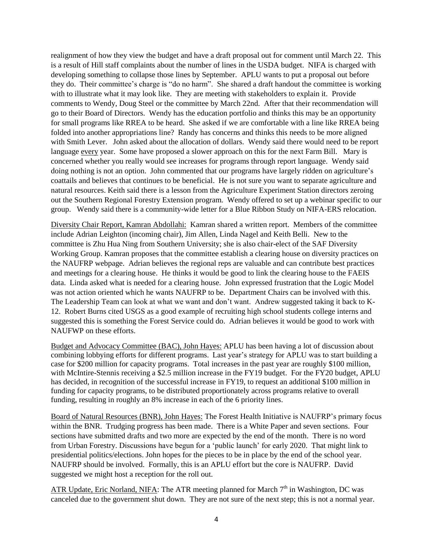realignment of how they view the budget and have a draft proposal out for comment until March 22. This is a result of Hill staff complaints about the number of lines in the USDA budget. NIFA is charged with developing something to collapse those lines by September. APLU wants to put a proposal out before they do. Their committee's charge is "do no harm". She shared a draft handout the committee is working with to illustrate what it may look like. They are meeting with stakeholders to explain it. Provide comments to Wendy, Doug Steel or the committee by March 22nd. After that their recommendation will go to their Board of Directors. Wendy has the education portfolio and thinks this may be an opportunity for small programs like RREA to be heard. She asked if we are comfortable with a line like RREA being folded into another appropriations line? Randy has concerns and thinks this needs to be more aligned with Smith Lever. John asked about the allocation of dollars. Wendy said there would need to be report language every year. Some have proposed a slower approach on this for the next Farm Bill. Mary is concerned whether you really would see increases for programs through report language. Wendy said doing nothing is not an option. John commented that our programs have largely ridden on agriculture's coattails and believes that continues to be beneficial. He is not sure you want to separate agriculture and natural resources. Keith said there is a lesson from the Agriculture Experiment Station directors zeroing out the Southern Regional Forestry Extension program. Wendy offered to set up a webinar specific to our group. Wendy said there is a community-wide letter for a Blue Ribbon Study on NIFA-ERS relocation.

Diversity Chair Report, Kamran Abdollahi: Kamran shared a written report. Members of the committee include Adrian Leighton (incoming chair), Jim Allen, Linda Nagel and Keith Belli. New to the committee is Zhu Hua Ning from Southern University; she is also chair-elect of the SAF Diversity Working Group. Kamran proposes that the committee establish a clearing house on diversity practices on the NAUFRP webpage. Adrian believes the regional reps are valuable and can contribute best practices and meetings for a clearing house. He thinks it would be good to link the clearing house to the FAEIS data. Linda asked what is needed for a clearing house. John expressed frustration that the Logic Model was not action oriented which he wants NAUFRP to be. Department Chairs can be involved with this. The Leadership Team can look at what we want and don't want. Andrew suggested taking it back to K-12. Robert Burns cited USGS as a good example of recruiting high school students college interns and suggested this is something the Forest Service could do. Adrian believes it would be good to work with NAUFWP on these efforts.

Budget and Advocacy Committee (BAC), John Hayes: APLU has been having a lot of discussion about combining lobbying efforts for different programs. Last year's strategy for APLU was to start building a case for \$200 million for capacity programs. Total increases in the past year are roughly \$100 million, with McIntire-Stennis receiving a \$2.5 million increase in the FY19 budget. For the FY20 budget, APLU has decided, in recognition of the successful increase in FY19, to request an additional \$100 million in funding for capacity programs, to be distributed proportionately across programs relative to overall funding, resulting in roughly an 8% increase in each of the 6 priority lines.

Board of Natural Resources (BNR), John Hayes: The Forest Health Initiative is NAUFRP's primary focus within the BNR. Trudging progress has been made. There is a White Paper and seven sections. Four sections have submitted drafts and two more are expected by the end of the month. There is no word from Urban Forestry. Discussions have begun for a 'public launch' for early 2020. That might link to presidential politics/elections. John hopes for the pieces to be in place by the end of the school year. NAUFRP should be involved. Formally, this is an APLU effort but the core is NAUFRP. David suggested we might host a reception for the roll out.

ATR Update, Eric Norland, NIFA: The ATR meeting planned for March  $7<sup>th</sup>$  in Washington, DC was canceled due to the government shut down. They are not sure of the next step; this is not a normal year.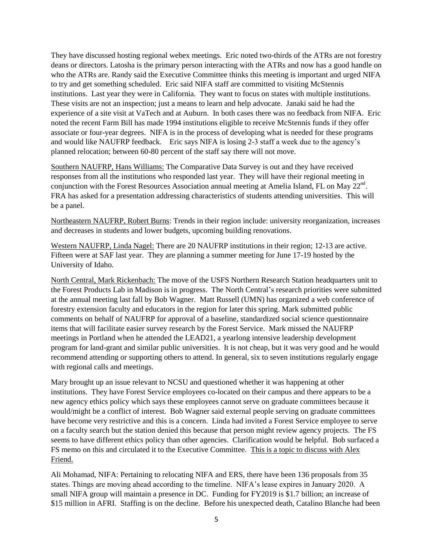They have discussed hosting regional webex meetings. Eric noted two-thirds of the ATRs are not forestry deans or directors. Latosha is the primary person interacting with the ATRs and now has a good handle on who the ATRs are. Randy said the Executive Committee thinks this meeting is important and urged NIFA to try and get something scheduled. Eric said NIFA staff are committed to visiting McStennis institutions. Last year they were in California. They want to focus on states with multiple institutions. These visits are not an inspection; just a means to learn and help advocate. Janaki said he had the experience of a site visit at VaTech and at Auburn. In both cases there was no feedback from NIFA. Eric noted the recent Farm Bill has made 1994 institutions eligible to receive McStennis funds if they offer associate or four-year degrees. NIFA is in the process of developing what is needed for these programs and would like NAUFRP feedback. Eric says NIFA is losing 2-3 staff a week due to the agency's planned relocation; between 60-80 percent of the staff say there will not move.

Southern NAUFRP, Hans Williams: The Comparative Data Survey is out and they have received responses from all the institutions who responded last year. They will have their regional meeting in conjunction with the Forest Resources Association annual meeting at Amelia Island, FL on May  $22^{nd}$ . FRA has asked for a presentation addressing characteristics of students attending universities. This will be a panel.

Northeastern NAUFRP, Robert Burns: Trends in their region include: university reorganization, increases and decreases in students and lower budgets, upcoming building renovations.

Western NAUFRP, Linda Nagel: There are 20 NAUFRP institutions in their region; 12-13 are active. Fifteen were at SAF last year. They are planning a summer meeting for June 17-19 hosted by the University of Idaho.

North Central, Mark Rickenbach: The move of the USFS Northern Research Station headquarters unit to the Forest Products Lab in Madison is in progress. The North Central's research priorities were submitted at the annual meeting last fall by Bob Wagner. Matt Russell (UMN) has organized a web conference of forestry extension faculty and educators in the region for later this spring. Mark submitted public comments on behalf of NAUFRP for approval of a baseline, standardized social science questionnaire items that will facilitate easier survey research by the Forest Service. Mark missed the NAUFRP meetings in Portland when he attended the LEAD21, a yearlong intensive leadership development program for land-grant and similar public universities. It is not cheap, but it was very good and he would recommend attending or supporting others to attend. In general, six to seven institutions regularly engage with regional calls and meetings.

Mary brought up an issue relevant to NCSU and questioned whether it was happening at other institutions. They have Forest Service employees co-located on their campus and there appears to be a new agency ethics policy which says these employees cannot serve on graduate committees because it would/might be a conflict of interest. Bob Wagner said external people serving on graduate committees have become very restrictive and this is a concern. Linda had invited a Forest Service employee to serve on a faculty search but the station denied this because that person might review agency projects. The FS seems to have different ethics policy than other agencies. Clarification would be helpful. Bob surfaced a FS memo on this and circulated it to the Executive Committee. This is a topic to discuss with Alex Friend.

Ali Mohamad, NIFA: Pertaining to relocating NIFA and ERS, there have been 136 proposals from 35 states. Things are moving ahead according to the timeline. NIFA's lease expires in January 2020. A small NIFA group will maintain a presence in DC. Funding for FY2019 is \$1.7 billion; an increase of \$15 million in AFRI. Staffing is on the decline. Before his unexpected death, Catalino Blanche had been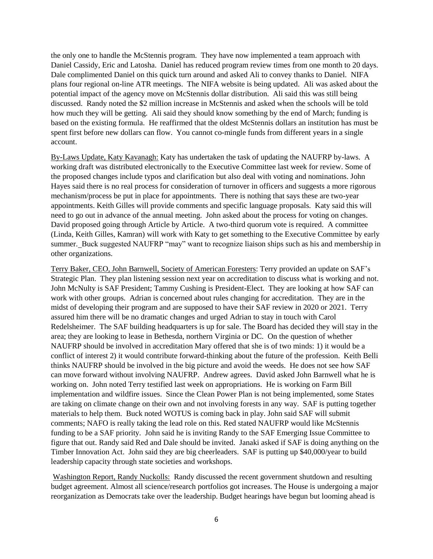the only one to handle the McStennis program. They have now implemented a team approach with Daniel Cassidy, Eric and Latosha. Daniel has reduced program review times from one month to 20 days. Dale complimented Daniel on this quick turn around and asked Ali to convey thanks to Daniel. NIFA plans four regional on-line ATR meetings. The NIFA website is being updated. Ali was asked about the potential impact of the agency move on McStennis dollar distribution. Ali said this was still being discussed. Randy noted the \$2 million increase in McStennis and asked when the schools will be told how much they will be getting. Ali said they should know something by the end of March; funding is based on the existing formula. He reaffirmed that the oldest McStennis dollars an institution has must be spent first before new dollars can flow. You cannot co-mingle funds from different years in a single account.

By-Laws Update, Katy Kavanagh: Katy has undertaken the task of updating the NAUFRP by-laws. A working draft was distributed electronically to the Executive Committee last week for review. Some of the proposed changes include typos and clarification but also deal with voting and nominations. John Hayes said there is no real process for consideration of turnover in officers and suggests a more rigorous mechanism/process be put in place for appointments. There is nothing that says these are two-year appointments. Keith Gilles will provide comments and specific language proposals. Katy said this will need to go out in advance of the annual meeting. John asked about the process for voting on changes. David proposed going through Article by Article. A two-third quorum vote is required. A committee (Linda, Keith Gilles, Kamran) will work with Katy to get something to the Executive Committee by early summer. Buck suggested NAUFRP "may" want to recognize liaison ships such as his and membership in other organizations.

Terry Baker, CEO, John Barnwell, Society of American Foresters: Terry provided an update on SAF's Strategic Plan. They plan listening session next year on accreditation to discuss what is working and not. John McNulty is SAF President; Tammy Cushing is President-Elect. They are looking at how SAF can work with other groups. Adrian is concerned about rules changing for accreditation. They are in the midst of developing their program and are supposed to have their SAF review in 2020 or 2021. Terry assured him there will be no dramatic changes and urged Adrian to stay in touch with Carol Redelsheimer. The SAF building headquarters is up for sale. The Board has decided they will stay in the area; they are looking to lease in Bethesda, northern Virginia or DC. On the question of whether NAUFRP should be involved in accreditation Mary offered that she is of two minds: 1) it would be a conflict of interest 2) it would contribute forward-thinking about the future of the profession. Keith Belli thinks NAUFRP should be involved in the big picture and avoid the weeds. He does not see how SAF can move forward without involving NAUFRP. Andrew agrees. David asked John Barnwell what he is working on. John noted Terry testified last week on appropriations. He is working on Farm Bill implementation and wildfire issues. Since the Clean Power Plan is not being implemented, some States are taking on climate change on their own and not involving forests in any way. SAF is putting together materials to help them. Buck noted WOTUS is coming back in play. John said SAF will submit comments; NAFO is really taking the lead role on this. Red stated NAUFRP would like McStennis funding to be a SAF priority. John said he is inviting Randy to the SAF Emerging Issue Committee to figure that out. Randy said Red and Dale should be invited. Janaki asked if SAF is doing anything on the Timber Innovation Act. John said they are big cheerleaders. SAF is putting up \$40,000/year to build leadership capacity through state societies and workshops.

Washington Report, Randy Nuckolls: Randy discussed the recent government shutdown and resulting budget agreement. Almost all science/research portfolios got increases. The House is undergoing a major reorganization as Democrats take over the leadership. Budget hearings have begun but looming ahead is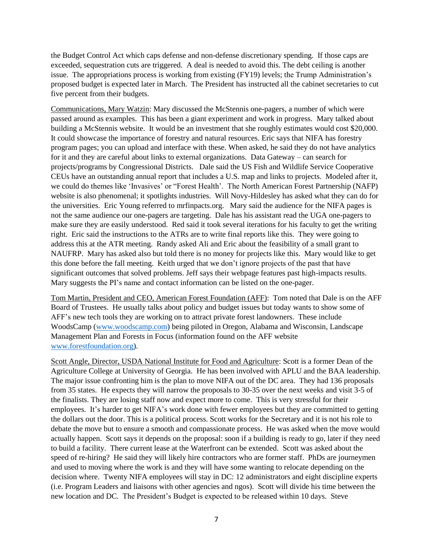the Budget Control Act which caps defense and non-defense discretionary spending. If those caps are exceeded, sequestration cuts are triggered. A deal is needed to avoid this. The debt ceiling is another issue. The appropriations process is working from existing (FY19) levels; the Trump Administration's proposed budget is expected later in March. The President has instructed all the cabinet secretaries to cut five percent from their budgets.

Communications, Mary Watzin: Mary discussed the McStennis one-pagers, a number of which were passed around as examples. This has been a giant experiment and work in progress. Mary talked about building a McStennis website. It would be an investment that she roughly estimates would cost \$20,000. It could showcase the importance of forestry and natural resources. Eric says that NIFA has forestry program pages; you can upload and interface with these. When asked, he said they do not have analytics for it and they are careful about links to external organizations. Data Gateway – can search for projects/programs by Congressional Districts. Dale said the US Fish and Wildlife Service Cooperative CEUs have an outstanding annual report that includes a U.S. map and links to projects. Modeled after it, we could do themes like 'Invasives' or "Forest Health'. The North American Forest Partnership (NAFP) website is also phenomenal; it spotlights industries. Will Novy-Hildesley has asked what they can do for the universities. Eric Young referred to mrfinpacts.org. Mary said the audience for the NIFA pages is not the same audience our one-pagers are targeting. Dale has his assistant read the UGA one-pagers to make sure they are easily understood. Red said it took several iterations for his faculty to get the writing right. Eric said the instructions to the ATRs are to write final reports like this. They were going to address this at the ATR meeting. Randy asked Ali and Eric about the feasibility of a small grant to NAUFRP. Mary has asked also but told there is no money for projects like this. Mary would like to get this done before the fall meeting. Keith urged that we don't ignore projects of the past that have significant outcomes that solved problems. Jeff says their webpage features past high-impacts results. Mary suggests the PI's name and contact information can be listed on the one-pager.

Tom Martin, President and CEO, American Forest Foundation (AFF): Tom noted that Dale is on the AFF Board of Trustees. He usually talks about policy and budget issues but today wants to show some of AFF's new tech tools they are working on to attract private forest landowners. These include WoodsCamp [\(www.woodscamp.com\)](http://www.woodscamp.com/) being piloted in Oregon, Alabama and Wisconsin, Landscape Management Plan and Forests in Focus (information found on the AFF website [www.forestfoundation.org\)](http://www.forestfoundation.org/).

Scott Angle, Director, USDA National Institute for Food and Agriculture: Scott is a former Dean of the Agriculture College at University of Georgia. He has been involved with APLU and the BAA leadership. The major issue confronting him is the plan to move NIFA out of the DC area. They had 136 proposals from 35 states. He expects they will narrow the proposals to 30-35 over the next weeks and visit 3-5 of the finalists. They are losing staff now and expect more to come. This is very stressful for their employees. It's harder to get NIFA's work done with fewer employees but they are committed to getting the dollars out the door. This is a political process. Scott works for the Secretary and it is not his role to debate the move but to ensure a smooth and compassionate process. He was asked when the move would actually happen. Scott says it depends on the proposal: soon if a building is ready to go, later if they need to build a facility. There current lease at the Waterfront can be extended. Scott was asked about the speed of re-hiring? He said they will likely hire contractors who are former staff. PhDs are journeymen and used to moving where the work is and they will have some wanting to relocate depending on the decision where. Twenty NIFA employees will stay in DC: 12 administrators and eight discipline experts (i.e. Program Leaders and liaisons with other agencies and ngos). Scott will divide his time between the new location and DC. The President's Budget is expected to be released within 10 days. Steve